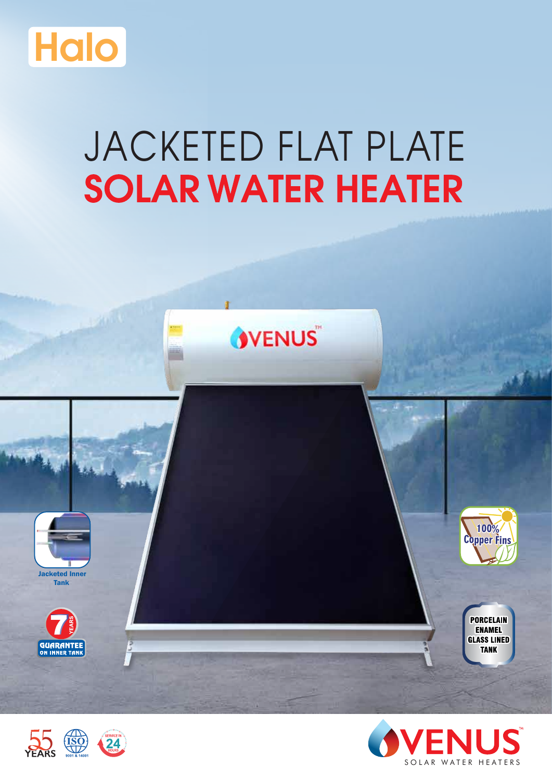

# JACKETED FLAT PLATE **SOLAR WATER HEATER**